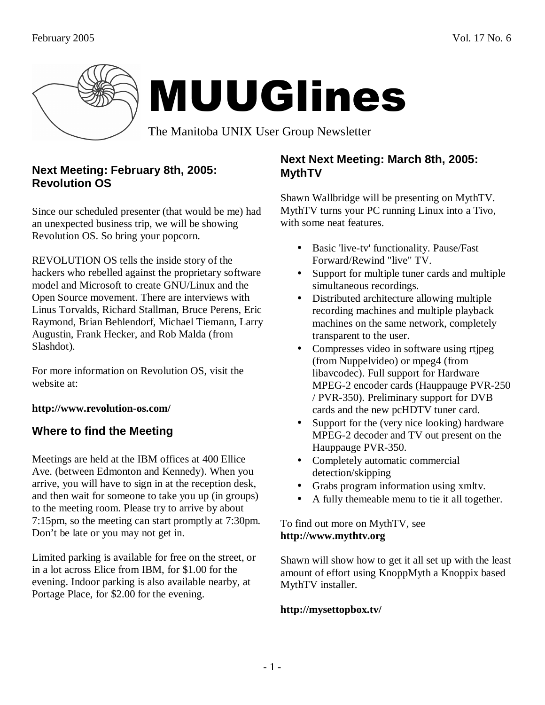

## **Next Meeting: February 8th, 2005: Revolution OS**

Since our scheduled presenter (that would be me) had an unexpected business trip, we will be showing Revolution OS. So bring your popcorn.

REVOLUTION OS tells the inside story of the hackers who rebelled against the proprietary software model and Microsoft to create GNU/Linux and the Open Source movement. There are interviews with Linus Torvalds, Richard Stallman, Bruce Perens, Eric Raymond, Brian Behlendorf, Michael Tiemann, Larry Augustin, Frank Hecker, and Rob Malda (from Slashdot).

For more information on Revolution OS, visit the website at:

**http://www.revolution-os.com/** 

# **Where to find the Meeting**

Meetings are held at the IBM offices at 400 Ellice Ave. (between Edmonton and Kennedy). When you arrive, you will have to sign in at the reception desk, and then wait for someone to take you up (in groups) to the meeting room. Please try to arrive by about 7:15pm, so the meeting can start promptly at 7:30pm. Don't be late or you may not get in.

Limited parking is available for free on the street, or in a lot across Elice from IBM, for \$1.00 for the evening. Indoor parking is also available nearby, at Portage Place, for \$2.00 for the evening.

## **Next Next Meeting: March 8th, 2005: MythTV**

Shawn Wallbridge will be presenting on MythTV. MythTV turns your PC running Linux into a Tivo, with some neat features.

- Basic 'live-tv' functionality. Pause/Fast Forward/Rewind "live" TV.
- Support for multiple tuner cards and multiple simultaneous recordings.
- Distributed architecture allowing multiple recording machines and multiple playback machines on the same network, completely transparent to the user.
- Compresses video in software using rtjpeg (from Nuppelvideo) or mpeg4 (from libavcodec). Full support for Hardware MPEG-2 encoder cards (Hauppauge PVR-250 / PVR-350). Preliminary support for DVB cards and the new pcHDTV tuner card.
- Support for the (very nice looking) hardware MPEG-2 decoder and TV out present on the Hauppauge PVR-350.
- Completely automatic commercial detection/skipping
- Grabs program information using xmltv.
- A fully themeable menu to tie it all together.

### To find out more on MythTV, see **http://www.mythtv.org**

Shawn will show how to get it all set up with the least amount of effort using KnoppMyth a Knoppix based MythTV installer.

### **http://mysettopbox.tv/**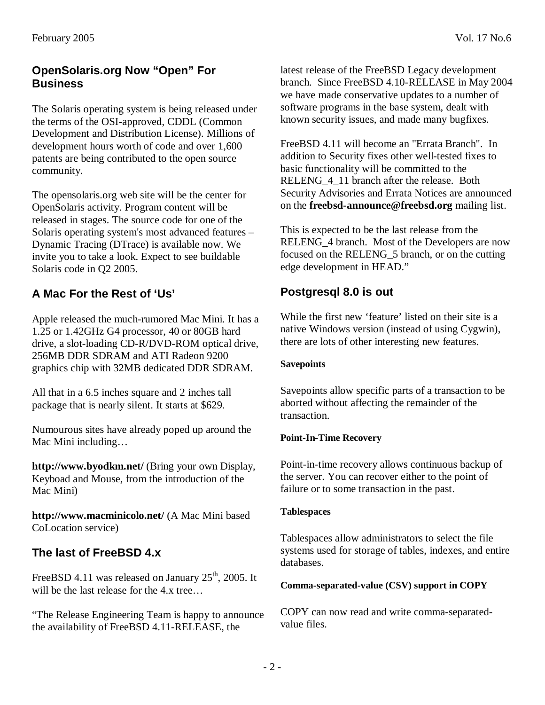# **OpenSolaris.org Now "Open" For Business**

The Solaris operating system is being released under the terms of the OSI-approved, CDDL (Common Development and Distribution License). Millions of development hours worth of code and over 1,600 patents are being contributed to the open source community.

The opensolaris.org web site will be the center for OpenSolaris activity. Program content will be released in stages. The source code for one of the Solaris operating system's most advanced features – Dynamic Tracing (DTrace) is available now. We invite you to take a look. Expect to see buildable Solaris code in Q2 2005.

# **A Mac For the Rest of 'Us'**

Apple released the much-rumored Mac Mini. It has a 1.25 or 1.42GHz G4 processor, 40 or 80GB hard drive, a slot-loading CD-R/DVD-ROM optical drive, 256MB DDR SDRAM and ATI Radeon 9200 graphics chip with 32MB dedicated DDR SDRAM.

All that in a 6.5 inches square and 2 inches tall package that is nearly silent. It starts at \$629.

Numourous sites have already poped up around the Mac Mini including…

**http://www.byodkm.net/** (Bring your own Display, Keyboad and Mouse, from the introduction of the Mac Mini)

**http://www.macminicolo.net/** (A Mac Mini based CoLocation service)

## **The last of FreeBSD 4.x**

FreeBSD 4.11 was released on January  $25<sup>th</sup>$ , 2005. It will be the last release for the 4.x tree...

"The Release Engineering Team is happy to announce the availability of FreeBSD 4.11-RELEASE, the

latest release of the FreeBSD Legacy development branch. Since FreeBSD 4.10-RELEASE in May 2004 we have made conservative updates to a number of software programs in the base system, dealt with known security issues, and made many bugfixes.

FreeBSD 4.11 will become an "Errata Branch". In addition to Security fixes other well-tested fixes to basic functionality will be committed to the RELENG\_4\_11 branch after the release. Both Security Advisories and Errata Notices are announced on the **freebsd-announce@freebsd.org** mailing list.

This is expected to be the last release from the RELENG 4 branch. Most of the Developers are now focused on the RELENG\_5 branch, or on the cutting edge development in HEAD."

### **Postgresql 8.0 is out**

While the first new 'feature' listed on their site is a native Windows version (instead of using Cygwin), there are lots of other interesting new features.

### **Savepoints**

Savepoints allow specific parts of a transaction to be aborted without affecting the remainder of the transaction.

### **Point-In-Time Recovery**

Point-in-time recovery allows continuous backup of the server. You can recover either to the point of failure or to some transaction in the past.

### **Tablespaces**

Tablespaces allow administrators to select the file systems used for storage of tables, indexes, and entire databases.

### **Comma-separated-value (CSV) support in COPY**

COPY can now read and write comma-separatedvalue files.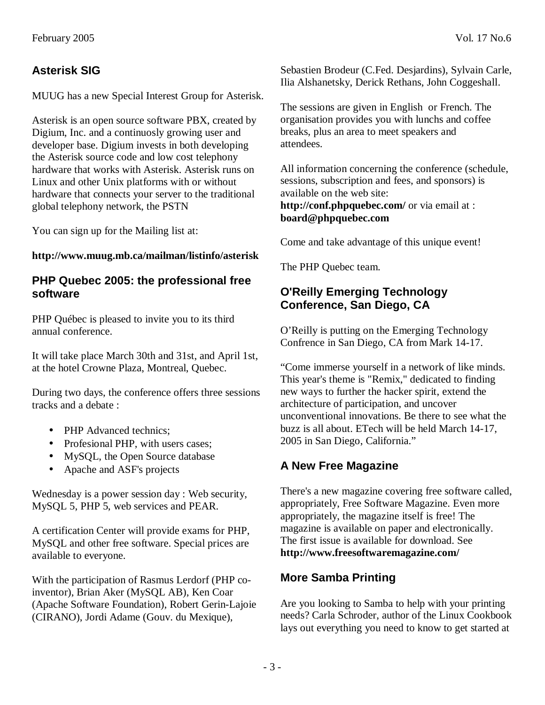MUUG has a new Special Interest Group for Asterisk.

Asterisk is an open source software PBX, created by Digium, Inc. and a continuosly growing user and developer base. Digium invests in both developing the Asterisk source code and low cost telephony hardware that works with Asterisk. Asterisk runs on Linux and other Unix platforms with or without hardware that connects your server to the traditional global telephony network, the PSTN

You can sign up for the Mailing list at:

### **http://www.muug.mb.ca/mailman/listinfo/asterisk**

### **PHP Quebec 2005: the professional free software**

PHP Québec is pleased to invite you to its third annual conference.

It will take place March 30th and 31st, and April 1st, at the hotel Crowne Plaza, Montreal, Quebec.

During two days, the conference offers three sessions tracks and a debate :

- PHP Advanced technics:
- Profesional PHP, with users cases;
- MySQL, the Open Source database
- Apache and ASF's projects

Wednesday is a power session day : Web security, MySQL 5, PHP 5, web services and PEAR.

A certification Center will provide exams for PHP, MySQL and other free software. Special prices are available to everyone.

With the participation of Rasmus Lerdorf (PHP coinventor), Brian Aker (MySQL AB), Ken Coar (Apache Software Foundation), Robert Gerin-Lajoie (CIRANO), Jordi Adame (Gouv. du Mexique),

Sebastien Brodeur (C.Fed. Desjardins), Sylvain Carle, Ilia Alshanetsky, Derick Rethans, John Coggeshall.

The sessions are given in English or French. The organisation provides you with lunchs and coffee breaks, plus an area to meet speakers and attendees.

All information concerning the conference (schedule, sessions, subscription and fees, and sponsors) is available on the web site: **http://conf.phpquebec.com/** or via email at : **board@phpquebec.com**

Come and take advantage of this unique event!

The PHP Quebec team.

## **O'Reilly Emerging Technology Conference, San Diego, CA**

O'Reilly is putting on the Emerging Technology Confrence in San Diego, CA from Mark 14-17.

"Come immerse yourself in a network of like minds. This year's theme is "Remix," dedicated to finding new ways to further the hacker spirit, extend the architecture of participation, and uncover unconventional innovations. Be there to see what the buzz is all about. ETech will be held March 14-17, 2005 in San Diego, California."

# **A New Free Magazine**

There's a new magazine covering free software called, appropriately, Free Software Magazine. Even more appropriately, the magazine itself is free! The magazine is available on paper and electronically. The first issue is available for download. See **http://www.freesoftwaremagazine.com/**

## **More Samba Printing**

Are you looking to Samba to help with your printing needs? Carla Schroder, author of the Linux Cookbook lays out everything you need to know to get started at